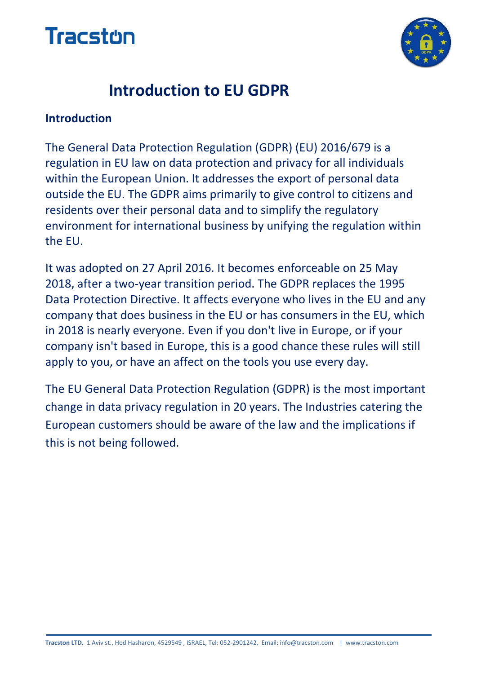



### **Introduction to EU GDPR**

#### **Introduction**

The General Data Protection Regulation (GDPR) (EU) 2016/679 is a regulation in EU law on data protection and privacy for all individuals within the European Union. It addresses the export of personal data outside the EU. The GDPR aims primarily to give control to citizens and residents over their personal data and to simplify the regulatory environment for international business by unifying the regulation within the EU.

It was adopted on 27 April 2016. It becomes enforceable on 25 May 2018, after a two-year transition period. The GDPR replaces the 1995 Data Protection Directive. It affects everyone who lives in the EU and any company that does business in the EU or has consumers in the EU, which in 2018 is nearly everyone. Even if you don't live in Europe, or if your company isn't based in Europe, this is a good chance these rules will still apply to you, or have an affect on the tools you use every day.

The EU General Data Protection Regulation (GDPR) is the most important change in data privacy regulation in 20 years. The Industries catering the European customers should be aware of the law and the implications if this is not being followed.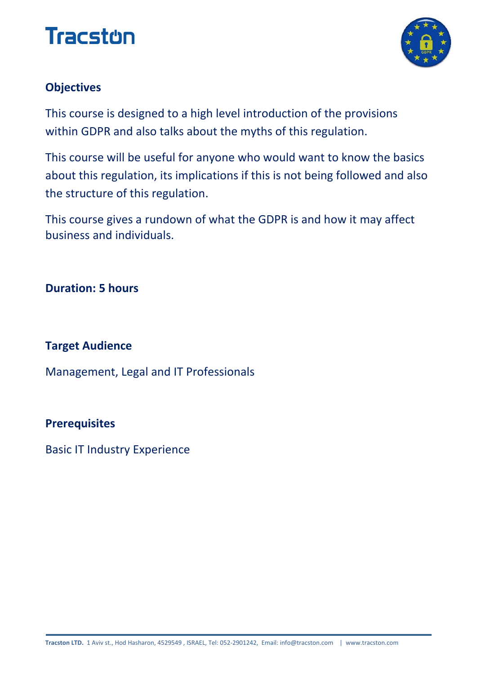# **Tracston**



#### **Objectives**

This course is designed to a high level introduction of the provisions within GDPR and also talks about the myths of this regulation.

This course will be useful for anyone who would want to know the basics about this regulation, its implications if this is not being followed and also the structure of this regulation.

This course gives a rundown of what the GDPR is and how it may affect business and individuals.

**Duration: 5 hours**

#### **Target Audience**

Management, Legal and IT Professionals

#### **Prerequisites**

Basic IT Industry Experience